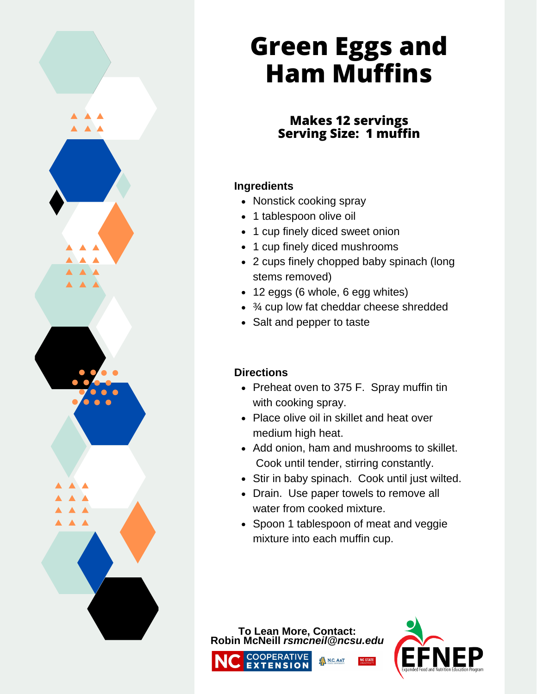

# **Green Eggs and Ham Muffins**

## **Makes 12 servings Serving Size: 1 muffin**

#### **Ingredients**

- Nonstick cooking spray
- 1 tablespoon olive oil
- 1 cup finely diced sweet onion
- 1 cup finely diced mushrooms
- 2 cups finely chopped baby spinach (long stems removed)
- 12 eggs (6 whole, 6 egg whites)
- ¾ cup low fat cheddar cheese shredded
- Salt and pepper to taste

#### **Directions**

- Preheat oven to 375 F. Spray muffin tin with cooking spray.
- Place olive oil in skillet and heat over medium high heat.
- Add onion, ham and mushrooms to skillet. Cook until tender, stirring constantly.
- Stir in baby spinach. Cook until just wilted.
- Drain. Use paper towels to remove all water from cooked mixture.
- Spoon 1 tablespoon of meat and veggie mixture into each muffin cup.

N.C. A&T

**To Lean More, Contact: Robin McNeill** *rsmcneil@ncsu.edu*COOPERATIVE